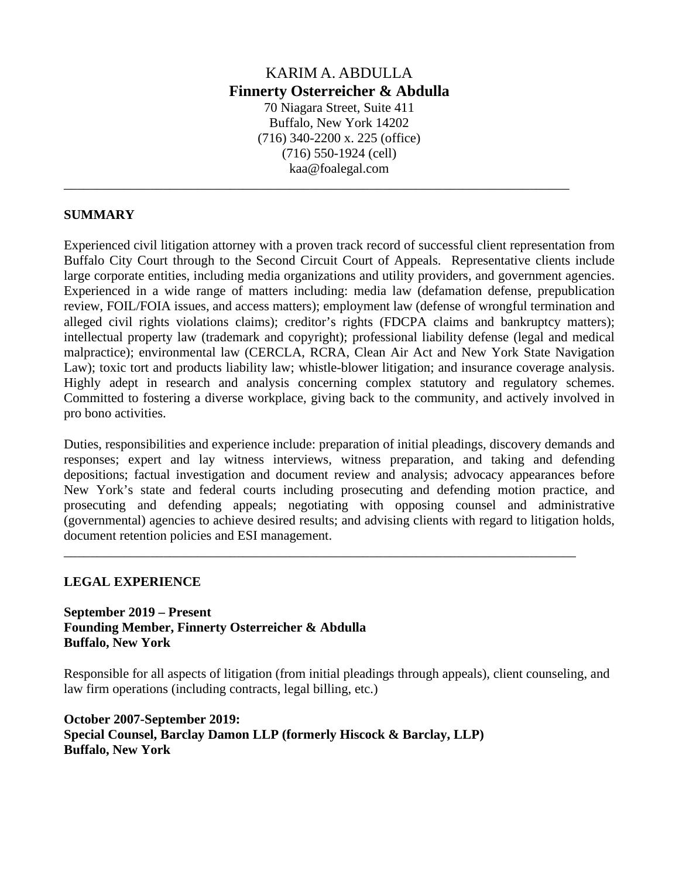# KARIM A. ABDULLA **Finnerty Osterreicher & Abdulla**  70 Niagara Street, Suite 411 Buffalo, New York 14202 (716) 340-2200 x. 225 (office) (716) 550-1924 (cell) kaa@foalegal.com

\_\_\_\_\_\_\_\_\_\_\_\_\_\_\_\_\_\_\_\_\_\_\_\_\_\_\_\_\_\_\_\_\_\_\_\_\_\_\_\_\_\_\_\_\_\_\_\_\_\_\_\_\_\_\_\_\_\_\_\_\_\_\_\_\_\_\_\_\_\_\_\_\_\_\_\_

### **SUMMARY**

Experienced civil litigation attorney with a proven track record of successful client representation from Buffalo City Court through to the Second Circuit Court of Appeals. Representative clients include large corporate entities, including media organizations and utility providers, and government agencies. Experienced in a wide range of matters including: media law (defamation defense, prepublication review, FOIL/FOIA issues, and access matters); employment law (defense of wrongful termination and alleged civil rights violations claims); creditor's rights (FDCPA claims and bankruptcy matters); intellectual property law (trademark and copyright); professional liability defense (legal and medical malpractice); environmental law (CERCLA, RCRA, Clean Air Act and New York State Navigation Law); toxic tort and products liability law; whistle-blower litigation; and insurance coverage analysis. Highly adept in research and analysis concerning complex statutory and regulatory schemes. Committed to fostering a diverse workplace, giving back to the community, and actively involved in pro bono activities.

Duties, responsibilities and experience include: preparation of initial pleadings, discovery demands and responses; expert and lay witness interviews, witness preparation, and taking and defending depositions; factual investigation and document review and analysis; advocacy appearances before New York's state and federal courts including prosecuting and defending motion practice, and prosecuting and defending appeals; negotiating with opposing counsel and administrative (governmental) agencies to achieve desired results; and advising clients with regard to litigation holds, document retention policies and ESI management.

\_\_\_\_\_\_\_\_\_\_\_\_\_\_\_\_\_\_\_\_\_\_\_\_\_\_\_\_\_\_\_\_\_\_\_\_\_\_\_\_\_\_\_\_\_\_\_\_\_\_\_\_\_\_\_\_\_\_\_\_\_\_\_\_\_\_\_\_\_\_\_\_\_\_\_\_\_

### **LEGAL EXPERIENCE**

**September 2019 – Present Founding Member, Finnerty Osterreicher & Abdulla Buffalo, New York** 

Responsible for all aspects of litigation (from initial pleadings through appeals), client counseling, and law firm operations (including contracts, legal billing, etc.)

**October 2007-September 2019: Special Counsel, Barclay Damon LLP (formerly Hiscock & Barclay, LLP) Buffalo, New York**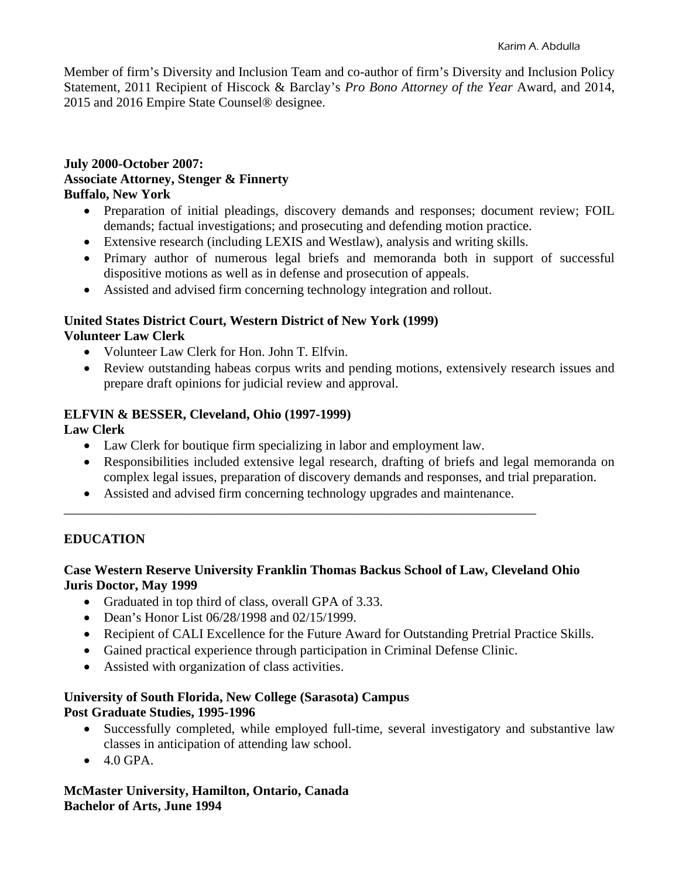Member of firm's Diversity and Inclusion Team and co-author of firm's Diversity and Inclusion Policy Statement, 2011 Recipient of Hiscock & Barclay's *Pro Bono Attorney of the Year* Award, and 2014, 2015 and 2016 Empire State Counsel® designee.

### **July 2000-October 2007: Associate Attorney, Stenger & Finnerty Buffalo, New York**

- Preparation of initial pleadings, discovery demands and responses; document review; FOIL demands; factual investigations; and prosecuting and defending motion practice.
- Extensive research (including LEXIS and Westlaw), analysis and writing skills.
- Primary author of numerous legal briefs and memoranda both in support of successful dispositive motions as well as in defense and prosecution of appeals.
- Assisted and advised firm concerning technology integration and rollout.

### **United States District Court, Western District of New York (1999) Volunteer Law Clerk**

- Volunteer Law Clerk for Hon. John T. Elfvin.
- Review outstanding habeas corpus writs and pending motions, extensively research issues and prepare draft opinions for judicial review and approval.

# **ELFVIN & BESSER, Cleveland, Ohio (1997-1999)**

**Law Clerk**

- Law Clerk for boutique firm specializing in labor and employment law.
- Responsibilities included extensive legal research, drafting of briefs and legal memoranda on complex legal issues, preparation of discovery demands and responses, and trial preparation.
- Assisted and advised firm concerning technology upgrades and maintenance. \_\_\_\_\_\_\_\_\_\_\_\_\_\_\_\_\_\_\_\_\_\_\_\_\_\_\_\_\_\_\_\_\_\_\_\_\_\_\_\_\_\_\_\_\_\_\_\_\_\_\_\_\_\_\_\_\_\_\_\_\_\_\_\_\_\_\_\_\_\_\_

# **EDUCATION**

## **Case Western Reserve University Franklin Thomas Backus School of Law, Cleveland Ohio Juris Doctor, May 1999**

- Graduated in top third of class, overall GPA of 3.33.
- Dean's Honor List 06/28/1998 and 02/15/1999.
- Recipient of CALI Excellence for the Future Award for Outstanding Pretrial Practice Skills.
- Gained practical experience through participation in Criminal Defense Clinic.
- Assisted with organization of class activities.

## **University of South Florida, New College (Sarasota) Campus Post Graduate Studies, 1995-1996**

- Successfully completed, while employed full-time, several investigatory and substantive law classes in anticipation of attending law school.
- $\bullet$  4.0 GPA.

# **McMaster University, Hamilton, Ontario, Canada Bachelor of Arts, June 1994**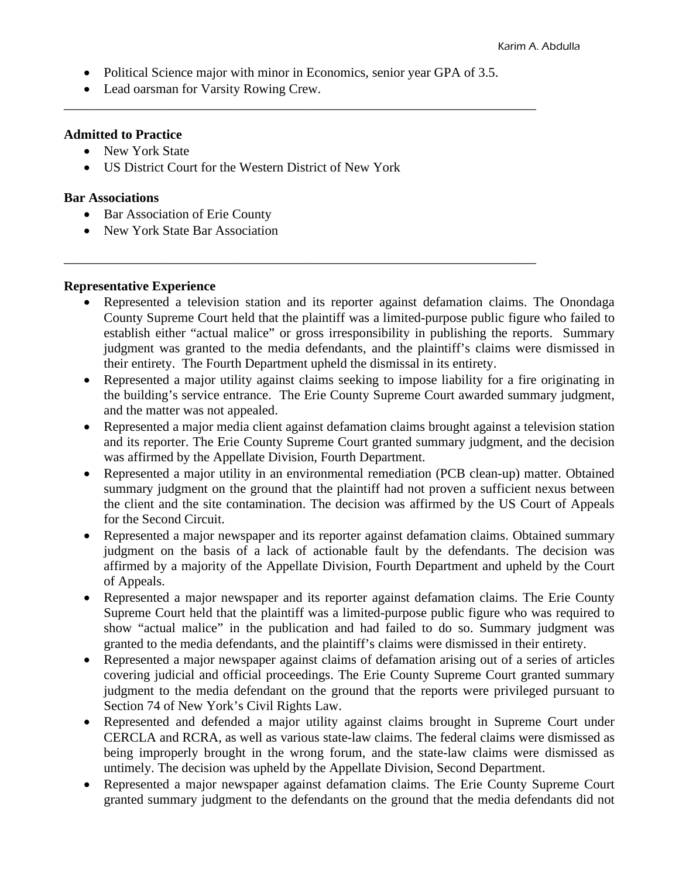• Political Science major with minor in Economics, senior year GPA of 3.5.

\_\_\_\_\_\_\_\_\_\_\_\_\_\_\_\_\_\_\_\_\_\_\_\_\_\_\_\_\_\_\_\_\_\_\_\_\_\_\_\_\_\_\_\_\_\_\_\_\_\_\_\_\_\_\_\_\_\_\_\_\_\_\_\_\_\_\_\_\_\_\_

\_\_\_\_\_\_\_\_\_\_\_\_\_\_\_\_\_\_\_\_\_\_\_\_\_\_\_\_\_\_\_\_\_\_\_\_\_\_\_\_\_\_\_\_\_\_\_\_\_\_\_\_\_\_\_\_\_\_\_\_\_\_\_\_\_\_\_\_\_\_\_

• Lead oarsman for Varsity Rowing Crew.

#### **Admitted to Practice**

- New York State
- US District Court for the Western District of New York

#### **Bar Associations**

- Bar Association of Erie County
- New York State Bar Association

### **Representative Experience**

- Represented a television station and its reporter against defamation claims. The Onondaga County Supreme Court held that the plaintiff was a limited-purpose public figure who failed to establish either "actual malice" or gross irresponsibility in publishing the reports. Summary judgment was granted to the media defendants, and the plaintiff's claims were dismissed in their entirety. The Fourth Department upheld the dismissal in its entirety.
- Represented a major utility against claims seeking to impose liability for a fire originating in the building's service entrance. The Erie County Supreme Court awarded summary judgment, and the matter was not appealed.
- Represented a major media client against defamation claims brought against a television station and its reporter. The Erie County Supreme Court granted summary judgment, and the decision was affirmed by the Appellate Division, Fourth Department.
- Represented a major utility in an environmental remediation (PCB clean-up) matter. Obtained summary judgment on the ground that the plaintiff had not proven a sufficient nexus between the client and the site contamination. The decision was affirmed by the US Court of Appeals for the Second Circuit.
- Represented a major newspaper and its reporter against defamation claims. Obtained summary judgment on the basis of a lack of actionable fault by the defendants. The decision was affirmed by a majority of the Appellate Division, Fourth Department and upheld by the Court of Appeals.
- Represented a major newspaper and its reporter against defamation claims. The Erie County Supreme Court held that the plaintiff was a limited-purpose public figure who was required to show "actual malice" in the publication and had failed to do so. Summary judgment was granted to the media defendants, and the plaintiff's claims were dismissed in their entirety.
- Represented a major newspaper against claims of defamation arising out of a series of articles covering judicial and official proceedings. The Erie County Supreme Court granted summary judgment to the media defendant on the ground that the reports were privileged pursuant to Section 74 of New York's Civil Rights Law.
- Represented and defended a major utility against claims brought in Supreme Court under CERCLA and RCRA, as well as various state-law claims. The federal claims were dismissed as being improperly brought in the wrong forum, and the state-law claims were dismissed as untimely. The decision was upheld by the Appellate Division, Second Department.
- Represented a major newspaper against defamation claims. The Erie County Supreme Court granted summary judgment to the defendants on the ground that the media defendants did not